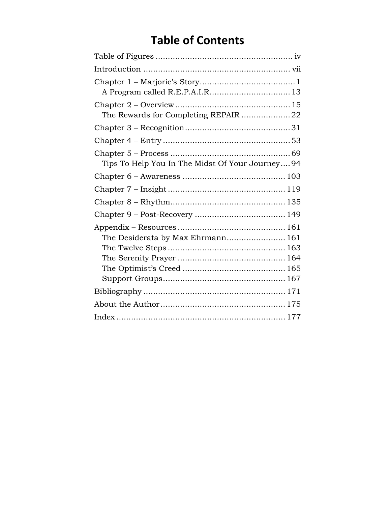## **Table of Contents**

| The Rewards for Completing REPAIR 22            |
|-------------------------------------------------|
|                                                 |
|                                                 |
| Tips To Help You In The Midst Of Your Journey94 |
|                                                 |
|                                                 |
|                                                 |
|                                                 |
| The Desiderata by Max Ehrmann 161               |
|                                                 |
|                                                 |
|                                                 |
|                                                 |